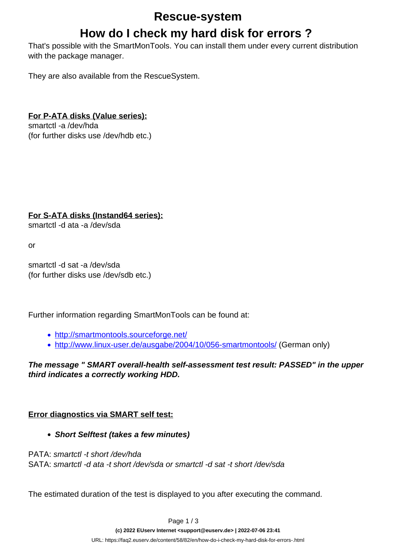### **Rescue-system**

# **How do I check my hard disk for errors ?**

That's possible with the SmartMonTools. You can install them under every current distribution with the package manager.

They are also available from the RescueSystem.

### **For P-ATA disks (Value series):**

smartctl -a /dev/hda (for further disks use /dev/hdb etc.)

#### **For S-ATA disks (Instand64 series):**

smartctl -d ata -a /dev/sda

or

smartctl -d sat -a /dev/sda (for further disks use /dev/sdb etc.)

Further information regarding SmartMonTools can be found at:

- <http://smartmontools.sourceforge.net/>
- <http://www.linux-user.de/ausgabe/2004/10/056-smartmontools/> (German only)

**The message " SMART overall-health self-assessment test result: PASSED" in the upper third indicates a correctly working HDD.**

### **Error diagnostics via SMART self test:**

**Short Selftest (takes a few minutes)**

PATA: smartctl -t short /dev/hda SATA: smartctl -d ata -t short /dev/sda or smartctl -d sat -t short /dev/sda

The estimated duration of the test is displayed to you after executing the command.

Page 1 / 3

**(c) 2022 EUserv Internet <support@euserv.de> | 2022-07-06 23:41**

[URL: https://faq2.euserv.de/content/58/82/en/how-do-i-check-my-hard-disk-for-errors-.html](https://faq2.euserv.de/content/58/82/en/how-do-i-check-my-hard-disk-for-errors-.html)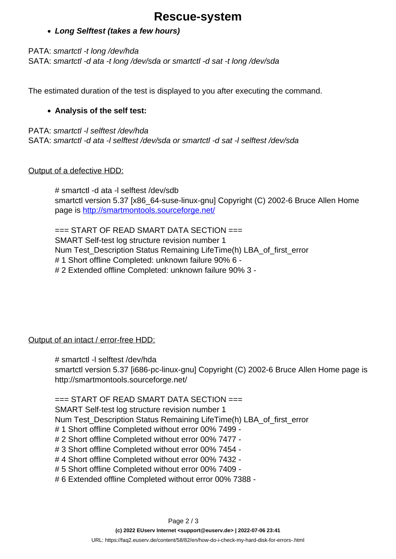# **Rescue-system**

#### **Long Selftest (takes a few hours)**

PATA: smartctl -t long /dev/hda SATA: smartctl -d ata -t long /dev/sda or smartctl -d sat -t long /dev/sda

The estimated duration of the test is displayed to you after executing the command.

#### **Analysis of the self test:**

PATA: smartctl -l selftest /dev/hda SATA: smartctl -d ata -l selftest /dev/sda or smartctl -d sat -l selftest /dev/sda

#### Output of a defective HDD:

# smartctl -d ata -l selftest /dev/sdb smartctl version 5.37 [x86\_64-suse-linux-gnu] Copyright (C) 2002-6 Bruce Allen Home page is <http://smartmontools.sourceforge.net/>

 $==$  START OF READ SMART DATA SECTION  $==$ SMART Self-test log structure revision number 1 Num Test\_Description Status Remaining LifeTime(h) LBA\_of\_first\_error # 1 Short offline Completed: unknown failure 90% 6 - # 2 Extended offline Completed: unknown failure 90% 3 -

#### Output of an intact / error-free HDD:

# smartctl -l selftest /dev/hda

smartctl version 5.37 [i686-pc-linux-gnu] Copyright (C) 2002-6 Bruce Allen Home page is http://smartmontools.sourceforge.net/

#### $==$  START OF READ SMART DATA SECTION  $==$

SMART Self-test log structure revision number 1

Num Test\_Description Status Remaining LifeTime(h) LBA\_of\_first\_error

- # 1 Short offline Completed without error 00% 7499 -
- # 2 Short offline Completed without error 00% 7477 -
- # 3 Short offline Completed without error 00% 7454 -
- # 4 Short offline Completed without error 00% 7432 -
- # 5 Short offline Completed without error 00% 7409 -
- # 6 Extended offline Completed without error 00% 7388 -